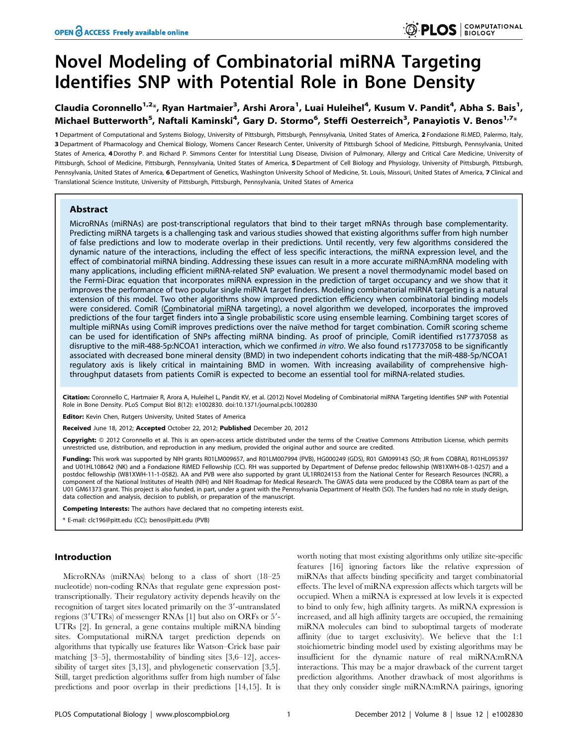# Novel Modeling of Combinatorial miRNA Targeting Identifies SNP with Potential Role in Bone Density

## Claudia Coronnello<sup>1,2</sup>\*, Ryan Hartmaier<sup>3</sup>, Arshi Arora<sup>1</sup>, Luai Huleihel<sup>4</sup>, Kusum V. Pandit<sup>4</sup>, Abha S. Bais<sup>1</sup>, Michael Butterworth<sup>5</sup>, Naftali Kaminski<sup>4</sup>, Gary D. Stormo<sup>6</sup>, Steffi Oesterreich<sup>3</sup>, Panayiotis V. Benos<sup>1,7</sup>\*

1 Department of Computational and Systems Biology, University of Pittsburgh, Pittsburgh, Pennsylvania, United States of America, 2 Fondazione Ri.MED, Palermo, Italy, 3 Department of Pharmacology and Chemical Biology, Womens Cancer Research Center, University of Pittsburgh School of Medicine, Pittsburgh, Pennsylvania, United States of America, 4Dorothy P. and Richard P. Simmons Center for Interstitial Lung Disease, Division of Pulmonary, Allergy and Critical Care Medicine, University of Pittsburgh, School of Medicine, Pittsburgh, Pennsylvania, United States of America, 5 Department of Cell Biology and Physiology, University of Pittsburgh, Pittsburgh, Pennsylvania, United States of America, 6 Department of Genetics, Washington University School of Medicine, St. Louis, Missouri, United States of America, 7 Clinical and Translational Science Institute, University of Pittsburgh, Pittsburgh, Pennsylvania, United States of America

#### Abstract

MicroRNAs (miRNAs) are post-transcriptional regulators that bind to their target mRNAs through base complementarity. Predicting miRNA targets is a challenging task and various studies showed that existing algorithms suffer from high number of false predictions and low to moderate overlap in their predictions. Until recently, very few algorithms considered the dynamic nature of the interactions, including the effect of less specific interactions, the miRNA expression level, and the effect of combinatorial miRNA binding. Addressing these issues can result in a more accurate miRNA:mRNA modeling with many applications, including efficient miRNA-related SNP evaluation. We present a novel thermodynamic model based on the Fermi-Dirac equation that incorporates miRNA expression in the prediction of target occupancy and we show that it improves the performance of two popular single miRNA target finders. Modeling combinatorial miRNA targeting is a natural extension of this model. Two other algorithms show improved prediction efficiency when combinatorial binding models were considered. ComiR (Combinatorial miRNA targeting), a novel algorithm we developed, incorporates the improved predictions of the four target finders into a single probabilistic score using ensemble learning. Combining target scores of multiple miRNAs using ComiR improves predictions over the naïve method for target combination. ComiR scoring scheme can be used for identification of SNPs affecting miRNA binding. As proof of principle, ComiR identified rs17737058 as disruptive to the miR-488-5p:NCOA1 interaction, which we confirmed in vitro. We also found rs17737058 to be significantly associated with decreased bone mineral density (BMD) in two independent cohorts indicating that the miR-488-5p/NCOA1 regulatory axis is likely critical in maintaining BMD in women. With increasing availability of comprehensive highthroughput datasets from patients ComiR is expected to become an essential tool for miRNA-related studies.

Citation: Coronnello C, Hartmaier R, Arora A, Huleihel L, Pandit KV, et al. (2012) Novel Modeling of Combinatorial miRNA Targeting Identifies SNP with Potential Role in Bone Density. PLoS Comput Biol 8(12): e1002830. doi:10.1371/journal.pcbi.1002830

Editor: Kevin Chen, Rutgers University, United States of America

Received June 18, 2012; Accepted October 22, 2012; Published December 20, 2012

**Copyright:** © 2012 Coronnello et al. This is an open-access article distributed under the terms of the Creative Commons Attribution License, which permits unrestricted use, distribution, and reproduction in any medium, provided the original author and source are credited.

Funding: This work was supported by NIH grants R01LM009657, and R01LM007994 (PVB), HG000249 (GDS), R01 GM099143 (SO; JR from COBRA), R01HL095397 and U01HL108642 (NK) and a Fondazione RiMED Fellowship (CC). RH was supported by Department of Defense predoc fellowship (W81XWH-08-1-0257) and a postdoc fellowship (W81XWH-11-1-0582). AA and PVB were also supported by grant UL1RR024153 from the National Center for Research Resources (NCRR), a component of the National Institutes of Health (NIH) and NIH Roadmap for Medical Research. The GWAS data were produced by the COBRA team as part of the U01 GM61373 grant. This project is also funded, in part, under a grant with the Pennsylvania Department of Health (SO). The funders had no role in study design, data collection and analysis, decision to publish, or preparation of the manuscript.

Competing Interests: The authors have declared that no competing interests exist.

\* E-mail: clc196@pitt.edu (CC); benos@pitt.edu (PVB)

#### Introduction

MicroRNAs (miRNAs) belong to a class of short (18–25 nucleotide) non-coding RNAs that regulate gene expression posttranscriptionally. Their regulatory activity depends heavily on the recognition of target sites located primarily on the 3'-untranslated regions (3'UTRs) of messenger RNAs [1] but also on ORFs or 5'-UTRs [2]. In general, a gene contains multiple miRNA binding sites. Computational miRNA target prediction depends on algorithms that typically use features like Watson–Crick base pair matching [3–5], thermostability of binding sites [3,6–12], accessibility of target sites [3,13], and phylogenetic conservation [3,5]. Still, target prediction algorithms suffer from high number of false predictions and poor overlap in their predictions [14,15]. It is

worth noting that most existing algorithms only utilize site-specific features [16] ignoring factors like the relative expression of miRNAs that affects binding specificity and target combinatorial effects. The level of miRNA expression affects which targets will be occupied. When a miRNA is expressed at low levels it is expected to bind to only few, high affinity targets. As miRNA expression is increased, and all high affinity targets are occupied, the remaining miRNA molecules can bind to suboptimal targets of moderate affinity (due to target exclusivity). We believe that the 1:1 stoichiometric binding model used by existing algorithms may be insufficient for the dynamic nature of real miRNA:mRNA interactions. This may be a major drawback of the current target prediction algorithms. Another drawback of most algorithms is that they only consider single miRNA:mRNA pairings, ignoring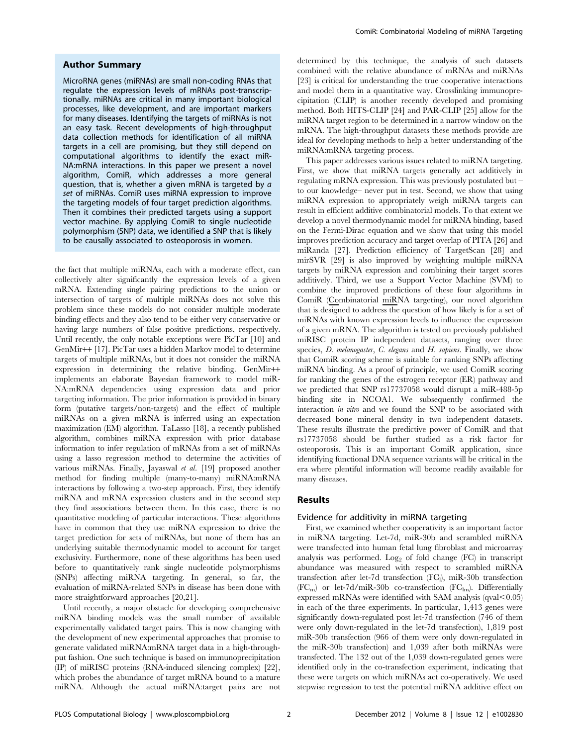#### Author Summary

MicroRNA genes (miRNAs) are small non-coding RNAs that regulate the expression levels of mRNAs post-transcriptionally. miRNAs are critical in many important biological processes, like development, and are important markers for many diseases. Identifying the targets of miRNAs is not an easy task. Recent developments of high-throughput data collection methods for identification of all miRNA targets in a cell are promising, but they still depend on computational algorithms to identify the exact miR-NA:mRNA interactions. In this paper we present a novel algorithm, ComiR, which addresses a more general question, that is, whether a given mRNA is targeted by a set of miRNAs. ComiR uses miRNA expression to improve the targeting models of four target prediction algorithms. Then it combines their predicted targets using a support vector machine. By applying ComiR to single nucleotide polymorphism (SNP) data, we identified a SNP that is likely to be causally associated to osteoporosis in women.

the fact that multiple miRNAs, each with a moderate effect, can collectively alter significantly the expression levels of a given mRNA. Extending single pairing predictions to the union or intersection of targets of multiple miRNAs does not solve this problem since these models do not consider multiple moderate binding effects and they also tend to be either very conservative or having large numbers of false positive predictions, respectively. Until recently, the only notable exceptions were PicTar [10] and GenMir++ [17]. PicTar uses a hidden Markov model to determine targets of multiple miRNAs, but it does not consider the miRNA expression in determining the relative binding. GenMir++ implements an elaborate Bayesian framework to model miR-NA:mRNA dependencies using expression data and prior targeting information. The prior information is provided in binary form (putative targets/non-targets) and the effect of multiple miRNAs on a given mRNA is inferred using an expectation maximization (EM) algorithm. TaLasso [18], a recently published algorithm, combines miRNA expression with prior database information to infer regulation of mRNAs from a set of miRNAs using a lasso regression method to determine the activities of various miRNAs. Finally, Jayaswal et al. [19] proposed another method for finding multiple (many-to-many) miRNA:mRNA interactions by following a two-step approach. First, they identify miRNA and mRNA expression clusters and in the second step they find associations between them. In this case, there is no quantitative modeling of particular interactions. These algorithms have in common that they use miRNA expression to drive the target prediction for sets of miRNAs, but none of them has an underlying suitable thermodynamic model to account for target exclusivity. Furthermore, none of these algorithms has been used before to quantitatively rank single nucleotide polymorphisms (SNPs) affecting miRNA targeting. In general, so far, the evaluation of miRNA-related SNPs in disease has been done with more straightforward approaches [20,21].

Until recently, a major obstacle for developing comprehensive miRNA binding models was the small number of available experimentally validated target pairs. This is now changing with the development of new experimental approaches that promise to generate validated miRNA:mRNA target data in a high-throughput fashion. One such technique is based on immunoprecipitation (IP) of miRISC proteins (RNA-induced silencing complex) [22], which probes the abundance of target mRNA bound to a mature miRNA. Although the actual miRNA:target pairs are not

determined by this technique, the analysis of such datasets combined with the relative abundance of mRNAs and miRNAs [23] is critical for understanding the true cooperative interactions and model them in a quantitative way. Crosslinking immunoprecipitation (CLIP) is another recently developed and promising method. Both HITS-CLIP [24] and PAR-CLIP [25] allow for the miRNA target region to be determined in a narrow window on the mRNA. The high-throughput datasets these methods provide are ideal for developing methods to help a better understanding of the miRNA:mRNA targeting process.

This paper addresses various issues related to miRNA targeting. First, we show that miRNA targets generally act additively in regulating mRNA expression. This was previously postulated but – to our knowledge– never put in test. Second, we show that using miRNA expression to appropriately weigh miRNA targets can result in efficient additive combinatorial models. To that extent we develop a novel thermodynamic model for miRNA binding, based on the Fermi-Dirac equation and we show that using this model improves prediction accuracy and target overlap of PITA [26] and miRanda [27]. Prediction efficiency of TargetScan [28] and mirSVR [29] is also improved by weighting multiple miRNA targets by miRNA expression and combining their target scores additively. Third, we use a Support Vector Machine (SVM) to combine the improved predictions of these four algorithms in ComiR (Combinatorial miRNA targeting), our novel algorithm that is designed to address the question of how likely is for a set of miRNAs with known expression levels to influence the expression of a given mRNA. The algorithm is tested on previously published miRISC protein IP independent datasets, ranging over three species, D. melanogaster, C. elegans and H. sapiens. Finally, we show that ComiR scoring scheme is suitable for ranking SNPs affecting miRNA binding. As a proof of principle, we used ComiR scoring for ranking the genes of the estrogen receptor (ER) pathway and we predicted that SNP rs17737058 would disrupt a miR-488-5p binding site in NCOA1. We subsequently confirmed the interaction in vitro and we found the SNP to be associated with decreased bone mineral density in two independent datasets. These results illustrate the predictive power of ComiR and that rs17737058 should be further studied as a risk factor for osteoporosis. This is an important ComiR application, since identifying functional DNA sequence variants will be critical in the era where plentiful information will become readily available for many diseases.

#### Results

#### Evidence for additivity in miRNA targeting

First, we examined whether cooperativity is an important factor in miRNA targeting. Let-7d, miR-30b and scrambled miRNA were transfected into human fetal lung fibroblast and microarray analysis was performed. Log<sub>2</sub> of fold change  $(FC)$  in transcript abundance was measured with respect to scrambled miRNA transfection after let-7d transfection (FC<sub>I</sub>), miR-30b transfection  $(FC_m)$  or let-7d/miR-30b co-transfection  $(FC_{lm})$ . Differentially expressed mRNAs were identified with SAM analysis (qval $\leq$ 0.05) in each of the three experiments. In particular, 1,413 genes were significantly down-regulated post let-7d transfection (746 of them were only down-regulated in the let-7d transfection), 1,819 post miR-30b transfection (966 of them were only down-regulated in the miR-30b transfection) and 1,039 after both miRNAs were transfected. The 132 out of the 1,039 down-regulated genes were identified only in the co-transfection experiment, indicating that these were targets on which miRNAs act co-operatively. We used stepwise regression to test the potential miRNA additive effect on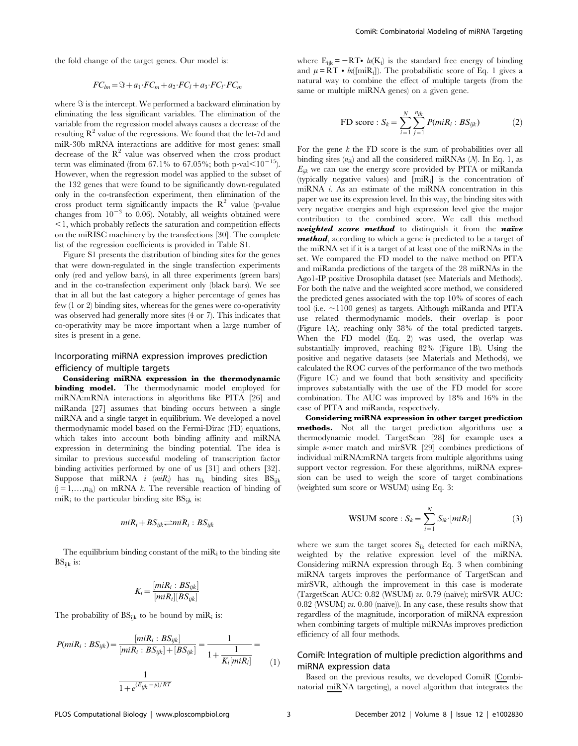the fold change of the target genes. Our model is:

$$
FC_{lm} = \mathcal{F} + a_1 \cdot FC_m + a_2 \cdot FC_l + a_3 \cdot FC_l \cdot FC_m
$$

where  $\Im$  is the intercept. We performed a backward elimination by eliminating the less significant variables. The elimination of the variable from the regression model always causes a decrease of the resulting  $R^2$  value of the regressions. We found that the let-7d and miR-30b mRNA interactions are additive for most genes: small decrease of the  $R^2$  value was observed when the cross product term was eliminated (from 67.1% to 67.05%; both p-val $\leq 10^{-15}$ ). However, when the regression model was applied to the subset of the 132 genes that were found to be significantly down-regulated only in the co-transfection experiment, then elimination of the cross product term significantly impacts the  $\mathbb{R}^2$  value (p-value changes from  $10^{-3}$  to 0.06). Notably, all weights obtained were  $\leq$ 1, which probably reflects the saturation and competition effects on the miRISC machinery by the transfections [30]. The complete list of the regression coefficients is provided in Table S1.

Figure S1 presents the distribution of binding sites for the genes that were down-regulated in the single transfection experiments only (red and yellow bars), in all three experiments (green bars) and in the co-transfection experiment only (black bars). We see that in all but the last category a higher percentage of genes has few (1 or 2) binding sites, whereas for the genes were co-operativity was observed had generally more sites (4 or 7). This indicates that co-operativity may be more important when a large number of sites is present in a gene.

## Incorporating miRNA expression improves prediction efficiency of multiple targets

Considering miRNA expression in the thermodynamic binding model. The thermodynamic model employed for miRNA:mRNA interactions in algorithms like PITA [26] and miRanda [27] assumes that binding occurs between a single miRNA and a single target in equilibrium. We developed a novel thermodynamic model based on the Fermi-Dirac (FD) equations, which takes into account both binding affinity and miRNA expression in determining the binding potential. The idea is similar to previous successful modeling of transcription factor binding activities performed by one of us [31] and others [32]. Suppose that miRNA *i* (*miR<sub>i</sub>*) has  $n_{ik}$  binding sites  $BS_{ijk}$  $(j = 1, \ldots, n_{ik})$  on mRNA k. The reversible reaction of binding of mi $R_i$  to the particular binding site  $BS_{ijk}$  is:

$$
miR_i + BS_{ijk} \rightleftharpoons miR_i : BS_{ijk}
$$

The equilibrium binding constant of the mi $R_i$  to the binding site  $BS_{iik}$  is:

$$
K_i = \frac{[miR_i : BS_{ijk}]}{[miR_i][BS_{ijk}]}
$$

The probability of  $BS_{ijk}$  to be bound by mi $R_i$  is:

$$
P(miR_i: BS_{ijk}) = \frac{[miR_i: BS_{ijk}]}{[miR_i: BS_{ijk}] + [BS_{ijk}]} = \frac{1}{1 + \frac{1}{K_i[miR_i]}} = \frac{1}{1 + \frac{1}{K_i[miR_i]}}
$$
(1)

where  $E_{ijk} = -RT \cdot ln(K_i)$  is the standard free energy of binding and  $\mu = RT \cdot ln([miR_i])$ . The probabilistic score of Eq. 1 gives a natural way to combine the effect of multiple targets (from the same or multiple miRNA genes) on a given gene.

FD score : 
$$
S_k = \sum_{i=1}^{N} \sum_{j=1}^{n_{ik}} P(miR_i : BS_{ijk})
$$
 (2)

For the gene  $k$  the FD score is the sum of probabilities over all binding sites  $(n_{ik})$  and all the considered miRNAs  $(N)$ . In Eq. 1, as  $E_{ijk}$  we can use the energy score provided by PITA or miRanda (typically negative values) and [miRi] is the concentration of miRNA i. As an estimate of the miRNA concentration in this paper we use its expression level. In this way, the binding sites with very negative energies and high expression level give the major contribution to the combined score. We call this method weighted score method to distinguish it from the naïve method, according to which a gene is predicted to be a target of the miRNA set if it is a target of at least one of the miRNAs in the set. We compared the FD model to the naïve method on PITA and miRanda predictions of the targets of the 28 miRNAs in the Ago1-IP positive Drosophila dataset (see Materials and Methods). For both the naïve and the weighted score method, we considered the predicted genes associated with the top 10% of scores of each tool (i.e.  $\sim$ 1100 genes) as targets. Although miRanda and PITA use related thermodynamic models, their overlap is poor (Figure 1A), reaching only 38% of the total predicted targets. When the FD model (Eq. 2) was used, the overlap was substantially improved, reaching 82% (Figure 1B). Using the positive and negative datasets (see Materials and Methods), we calculated the ROC curves of the performance of the two methods (Figure 1C) and we found that both sensitivity and specificity improves substantially with the use of the FD model for score combination. The AUC was improved by 18% and 16% in the case of PITA and miRanda, respectively.

Considering miRNA expression in other target prediction methods. Not all the target prediction algorithms use a thermodynamic model. TargetScan [28] for example uses a simple *n*-mer match and mirSVR [29] combines predictions of individual miRNA:mRNA targets from multiple algorithms using support vector regression. For these algorithms, miRNA expression can be used to weigh the score of target combinations (weighted sum score or WSUM) using Eq. 3:

WSUM score : 
$$
S_k = \sum_{i=1}^{N} S_{ik} \cdot [miR_i]
$$
 (3)

where we sum the target scores  $S_{ik}$  detected for each miRNA, weighted by the relative expression level of the miRNA. Considering miRNA expression through Eq. 3 when combining miRNA targets improves the performance of TargetScan and mirSVR, although the improvement in this case is moderate (TargetScan AUC: 0.82 (WSUM) vs. 0.79 (naïve); mirSVR AUC:  $0.82$  (WSUM) vs.  $0.80$  (naïve)). In any case, these results show that regardless of the magnitude, incorporation of miRNA expression when combining targets of multiple miRNAs improves prediction efficiency of all four methods.

## ComiR: Integration of multiple prediction algorithms and miRNA expression data

Based on the previous results, we developed ComiR (Combinatorial miRNA targeting), a novel algorithm that integrates the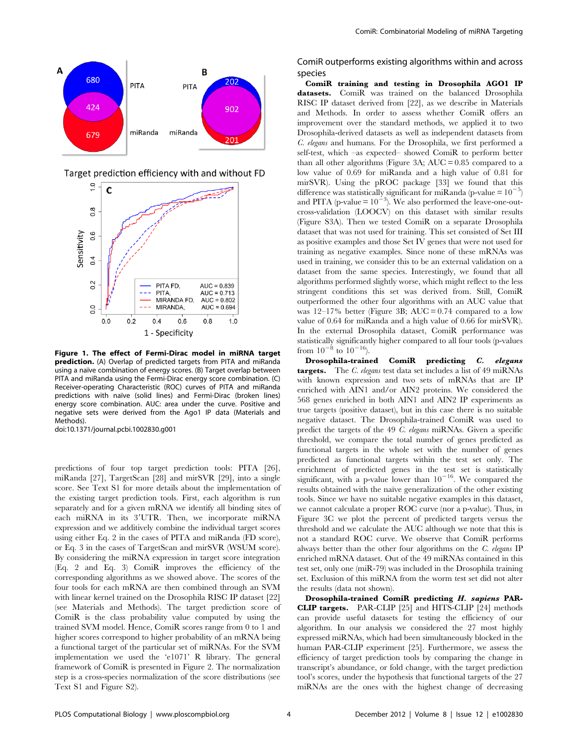

Figure 1. The effect of Fermi-Dirac model in miRNA target **prediction.** (A) Overlap of predicted targets from PITA and miRanda using a naïve combination of energy scores. (B) Target overlap between PITA and miRanda using the Fermi-Dirac energy score combination. (C) Receiver-operating Characteristic (ROC) curves of PITA and miRanda predictions with naïve (solid lines) and Fermi-Dirac (broken lines) energy score combination. AUC: area under the curve. Positive and negative sets were derived from the Ago1 IP data (Materials and Methods).

doi:10.1371/journal.pcbi.1002830.g001

predictions of four top target prediction tools: PITA [26], miRanda [27], TargetScan [28] and mirSVR [29], into a single score. See Text S1 for more details about the implementation of the existing target prediction tools. First, each algorithm is run separately and for a given mRNA we identify all binding sites of each miRNA in its 3'UTR. Then, we incorporate miRNA expression and we additively combine the individual target scores using either Eq. 2 in the cases of PITA and miRanda (FD score), or Eq. 3 in the cases of TargetScan and mirSVR (WSUM score). By considering the miRNA expression in target score integration (Eq. 2 and Eq. 3) ComiR improves the efficiency of the corresponding algorithms as we showed above. The scores of the four tools for each mRNA are then combined through an SVM with linear kernel trained on the Drosophila RISC IP dataset [22] (see Materials and Methods). The target prediction score of ComiR is the class probability value computed by using the trained SVM model. Hence, ComiR scores range from 0 to 1 and higher scores correspond to higher probability of an mRNA being a functional target of the particular set of miRNAs. For the SVM implementation we used the 'e1071' R library. The general framework of ComiR is presented in Figure 2. The normalization step is a cross-species normalization of the score distributions (see Text S1 and Figure S2).

ComiR outperforms existing algorithms within and across species

ComiR training and testing in Drosophila AGO1 IP datasets. ComiR was trained on the balanced Drosophila RISC IP dataset derived from [22], as we describe in Materials and Methods. In order to assess whether ComiR offers an improvement over the standard methods, we applied it to two Drosophila-derived datasets as well as independent datasets from C. elegans and humans. For the Drosophila, we first performed a self-test, which –as expected– showed ComiR to perform better than all other algorithms (Figure 3A;  $AUC = 0.85$  compared to a low value of 0.69 for miRanda and a high value of 0.81 for mirSVR). Using the pROC package [33] we found that this difference was statistically significant for miRanda (p-value =  $10^{-5}$ ) and PITA (p-value =  $10^{-3}$ ). We also performed the leave-one-outcross-validation (LOOCV) on this dataset with similar results (Figure S3A). Then we tested ComiR on a separate Drosophila dataset that was not used for training. This set consisted of Set III as positive examples and those Set IV genes that were not used for training as negative examples. Since none of these mRNAs was used in training, we consider this to be an external validation on a dataset from the same species. Interestingly, we found that all algorithms performed slightly worse, which might reflect to the less stringent conditions this set was derived from. Still, ComiR outperformed the other four algorithms with an AUC value that was  $12-17\%$  better (Figure 3B; AUC = 0.74 compared to a low value of 0.64 for miRanda and a high value of 0.66 for mirSVR). In the external Drosophila dataset, ComiR performance was statistically significantly higher compared to all four tools (p-values from  $10^{-8}$  to  $10^{-16}$ ).

Drosophila-trained ComiR predicting C. elegans targets. The C. elegans test data set includes a list of 49 miRNAs with known expression and two sets of mRNAs that are IP enriched with AIN1 and/or AIN2 proteins. We considered the 568 genes enriched in both AIN1 and AIN2 IP experiments as true targets (positive dataset), but in this case there is no suitable negative dataset. The Drosophila-trained ComiR was used to predict the targets of the 49 C. elegans miRNAs. Given a specific threshold, we compare the total number of genes predicted as functional targets in the whole set with the number of genes predicted as functional targets within the test set only. The enrichment of predicted genes in the test set is statistically significant, with a p-value lower than  $10^{-16}$ . We compared the results obtained with the naïve generalization of the other existing tools. Since we have no suitable negative examples in this dataset, we cannot calculate a proper ROC curve (nor a p-value). Thus, in Figure 3C we plot the percent of predicted targets versus the threshold and we calculate the AUC although we note that this is not a standard ROC curve. We observe that ComiR performs always better than the other four algorithms on the C. elegans IP enriched mRNA dataset. Out of the 49 miRNAs contained in this test set, only one (miR-79) was included in the Drosophila training set. Exclusion of this miRNA from the worm test set did not alter the results (data not shown).

Drosophila-trained ComiR predicting H. sapiens PAR-CLIP targets. PAR-CLIP [25] and HITS-CLIP [24] methods can provide useful datasets for testing the efficiency of our algorithm. In our analysis we considered the 27 most highly expressed miRNAs, which had been simultaneously blocked in the human PAR-CLIP experiment [25]. Furthermore, we assess the efficiency of target prediction tools by comparing the change in transcript's abundance, or fold change, with the target prediction tool's scores, under the hypothesis that functional targets of the 27 miRNAs are the ones with the highest change of decreasing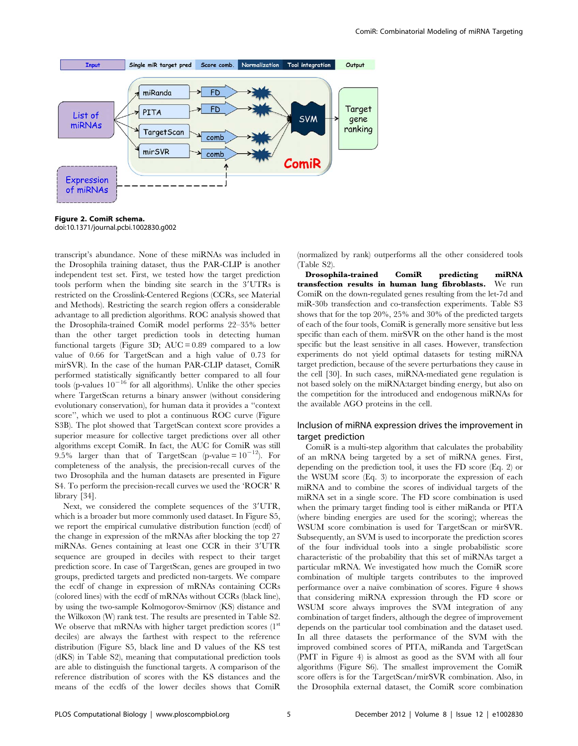

Figure 2. ComiR schema. doi:10.1371/journal.pcbi.1002830.g002

transcript's abundance. None of these miRNAs was included in the Drosophila training dataset, thus the PAR-CLIP is another independent test set. First, we tested how the target prediction tools perform when the binding site search in the 3'UTRs is restricted on the Crosslink-Centered Regions (CCRs, see Material and Methods). Restricting the search region offers a considerable advantage to all prediction algorithms. ROC analysis showed that the Drosophila-trained ComiR model performs 22–35% better than the other target prediction tools in detecting human functional targets (Figure 3D;  $AUC = 0.89$  compared to a low value of 0.66 for TargetScan and a high value of 0.73 for mirSVR). In the case of the human PAR-CLIP dataset, ComiR performed statistically significantly better compared to all four tools (p-values  $10^{-16}$  for all algorithms). Unlike the other species where TargetScan returns a binary answer (without considering evolutionary conservation), for human data it provides a ''context score'', which we used to plot a continuous ROC curve (Figure S3B). The plot showed that TargetScan context score provides a superior measure for collective target predictions over all other algorithms except ComiR. In fact, the AUC for ComiR was still 9.5% larger than that of TargetScan (p-value =  $10^{-12}$ ). For completeness of the analysis, the precision-recall curves of the two Drosophila and the human datasets are presented in Figure S4. To perform the precision-recall curves we used the 'ROCR' R library [34].

Next, we considered the complete sequences of the 3'UTR, which is a broader but more commonly used dataset. In Figure S5, we report the empirical cumulative distribution function (ecdf) of the change in expression of the mRNAs after blocking the top 27 miRNAs. Genes containing at least one CCR in their 3'UTR sequence are grouped in deciles with respect to their target prediction score. In case of TargetScan, genes are grouped in two groups, predicted targets and predicted non-targets. We compare the ecdf of change in expression of mRNAs containing CCRs (colored lines) with the ecdf of mRNAs without CCRs (black line), by using the two-sample Kolmogorov-Smirnov (KS) distance and the Wilkoxon (W) rank test. The results are presented in Table S2. We observe that mRNAs with higher target prediction scores  $(1<sup>st</sup>)$ deciles) are always the farthest with respect to the reference distribution (Figure S5, black line and D values of the KS test (dKS) in Table S2), meaning that computational prediction tools are able to distinguish the functional targets. A comparison of the reference distribution of scores with the KS distances and the means of the ecdfs of the lower deciles shows that ComiR

(normalized by rank) outperforms all the other considered tools (Table S2).

Drosophila-trained ComiR predicting miRNA transfection results in human lung fibroblasts. We run ComiR on the down-regulated genes resulting from the let-7d and miR-30b transfection and co-transfection experiments. Table S3 shows that for the top 20%, 25% and 30% of the predicted targets of each of the four tools, ComiR is generally more sensitive but less specific than each of them. mirSVR on the other hand is the most specific but the least sensitive in all cases. However, transfection experiments do not yield optimal datasets for testing miRNA target prediction, because of the severe perturbations they cause in the cell [30]. In such cases, miRNA-mediated gene regulation is not based solely on the miRNA:target binding energy, but also on the competition for the introduced and endogenous miRNAs for the available AGO proteins in the cell.

### Inclusion of miRNA expression drives the improvement in target prediction

ComiR is a multi-step algorithm that calculates the probability of an mRNA being targeted by a set of miRNA genes. First, depending on the prediction tool, it uses the FD score (Eq. 2) or the WSUM score (Eq. 3) to incorporate the expression of each miRNA and to combine the scores of individual targets of the miRNA set in a single score. The FD score combination is used when the primary target finding tool is either miRanda or PITA (where binding energies are used for the scoring); whereas the WSUM score combination is used for TargetScan or mirSVR. Subsequently, an SVM is used to incorporate the prediction scores of the four individual tools into a single probabilistic score characteristic of the probability that this set of miRNAs target a particular mRNA. We investigated how much the ComiR score combination of multiple targets contributes to the improved performance over a naïve combination of scores. Figure 4 shows that considering miRNA expression through the FD score or WSUM score always improves the SVM integration of any combination of target finders, although the degree of improvement depends on the particular tool combination and the dataset used. In all three datasets the performance of the SVM with the improved combined scores of PITA, miRanda and TargetScan (PMT in Figure 4) is almost as good as the SVM with all four algorithms (Figure S6). The smallest improvement the ComiR score offers is for the TargetScan/mirSVR combination. Also, in the Drosophila external dataset, the ComiR score combination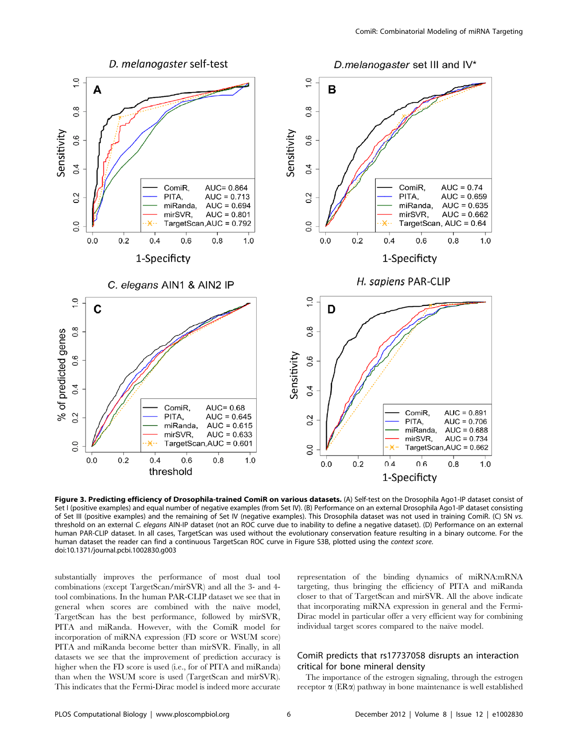

Figure 3. Predicting efficiency of Drosophila-trained ComiR on various datasets. (A) Self-test on the Drosophila Ago1-IP dataset consist of Set I (positive examples) and equal number of negative examples (from Set IV). (B) Performance on an external Drosophila Ago1-IP dataset consisting of Set III (positive examples) and the remaining of Set IV (negative examples). This Drosophila dataset was not used in training ComiR. (C) SN vs. threshold on an external C. elegans AIN-IP dataset (not an ROC curve due to inability to define a negative dataset). (D) Performance on an external human PAR-CLIP dataset. In all cases, TargetScan was used without the evolutionary conservation feature resulting in a binary outcome. For the human dataset the reader can find a continuous TargetScan ROC curve in Figure S3B, plotted using the context score. doi:10.1371/journal.pcbi.1002830.g003

substantially improves the performance of most dual tool combinations (except TargetScan/mirSVR) and all the 3- and 4 tool combinations. In the human PAR-CLIP dataset we see that in general when scores are combined with the naïve model, TargetScan has the best performance, followed by mirSVR, PITA and miRanda. However, with the ComiR model for incorporation of miRNA expression (FD score or WSUM score) PITA and miRanda become better than mirSVR. Finally, in all datasets we see that the improvement of prediction accuracy is higher when the FD score is used (i.e., for of PITA and miRanda) than when the WSUM score is used (TargetScan and mirSVR). This indicates that the Fermi-Dirac model is indeed more accurate representation of the binding dynamics of miRNA:mRNA targeting, thus bringing the efficiency of PITA and miRanda closer to that of TargetScan and mirSVR. All the above indicate that incorporating miRNA expression in general and the Fermi-Dirac model in particular offer a very efficient way for combining individual target scores compared to the naïve model.

## ComiR predicts that rs17737058 disrupts an interaction critical for bone mineral density

The importance of the estrogen signaling, through the estrogen receptor  $\alpha$  (ER $\alpha$ ) pathway in bone maintenance is well established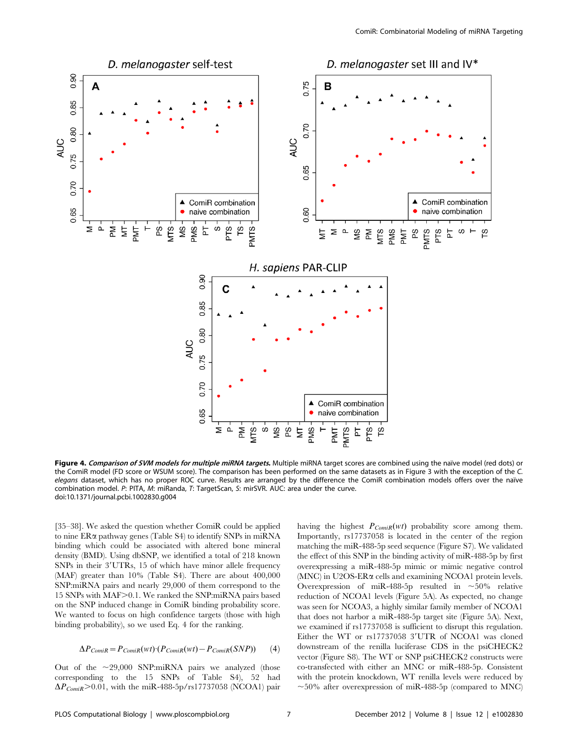

Figure 4. Comparison of SVM models for multiple miRNA targets. Multiple miRNA target scores are combined using the naïve model (red dots) or the ComiR model (FD score or WSUM score). The comparison has been performed on the same datasets as in Figure 3 with the exception of the C. elegans dataset, which has no proper ROC curve. Results are arranged by the difference the ComiR combination models offers over the naïve combination model. P: PITA, M: miRanda, T: TargetScan, S: mirSVR. AUC: area under the curve. doi:10.1371/journal.pcbi.1002830.g004

[35–38]. We asked the question whether ComiR could be applied to nine  $ER\alpha$  pathway genes (Table S4) to identify SNPs in miRNA binding which could be associated with altered bone mineral density (BMD). Using dbSNP, we identified a total of 218 known SNPs in their 3'UTRs, 15 of which have minor allele frequency (MAF) greater than 10% (Table S4). There are about 400,000 SNP:miRNA pairs and nearly 29,000 of them correspond to the 15 SNPs with MAF>0.1. We ranked the SNP:miRNA pairs based on the SNP induced change in ComiR binding probability score. We wanted to focus on high confidence targets (those with high binding probability), so we used Eq. 4 for the ranking.

$$
\Delta P_{ComiR} = P_{ComiR}(wt) \cdot (P_{ComiR}(wt) - P_{ComiR}(SNP)) \tag{4}
$$

Out of the  $\sim$ 29,000 SNP:miRNA pairs we analyzed (those corresponding to the 15 SNPs of Table S4), 52 had  $\Delta P_{ComiR}$  > 0.01, with the miR-488-5p/rs17737058 (NCOA1) pair having the highest  $P_{ComiR}(wt)$  probability score among them. Importantly, rs17737058 is located in the center of the region matching the miR-488-5p seed sequence (Figure S7). We validated the effect of this SNP in the binding activity of miR-488-5p by first overexpressing a miR-488-5p mimic or mimic negative control (MNC) in U2OS-ERa cells and examining NCOA1 protein levels. Overexpression of miR-488-5p resulted in  $\sim$ 50% relative reduction of NCOA1 levels (Figure 5A). As expected, no change was seen for NCOA3, a highly similar family member of NCOA1 that does not harbor a miR-488-5p target site (Figure 5A). Next, we examined if rs17737058 is sufficient to disrupt this regulation. Either the WT or rs17737058 3'UTR of NCOA1 was cloned downstream of the renilla luciferase CDS in the psiCHECK2 vector (Figure S8). The WT or SNP psiCHECK2 constructs were co-transfected with either an MNC or miR-488-5p. Consistent with the protein knockdown, WT renilla levels were reduced by  $\sim$ 50% after overexpression of miR-488-5p (compared to MNC)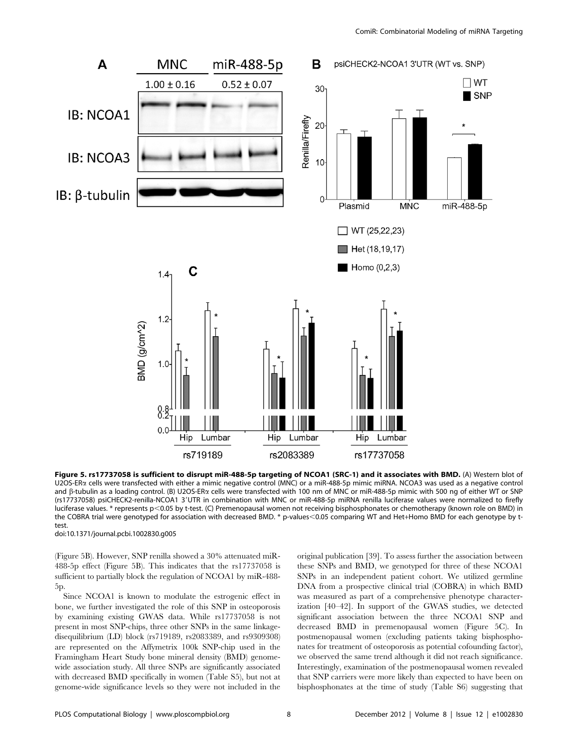

Figure 5. rs17737058 is sufficient to disrupt miR-488-5p targeting of NCOA1 (SRC-1) and it associates with BMD. (A) Western blot of U2OS-ERa cells were transfected with either a mimic negative control (MNC) or a miR-488-5p mimic miRNA. NCOA3 was used as a negative control and  $\beta$ -tubulin as a loading control. (B) U2OS-ERa cells were transfected with 100 nm of MNC or miR-488-5p mimic with 500 ng of either WT or SNP (rs17737058) psiCHECK2-renilla-NCOA1 3'UTR in combination with MNC or miR-488-5p miRNA renilla luciferase values were normalized to firefly luciferase values. \* represents p<0.05 by t-test. (C) Premenopausal women not receiving bisphosphonates or chemotherapy (known role on BMD) in the COBRA trial were genotyped for association with decreased BMD. \* p-values<0.05 comparing WT and Het+Homo BMD for each genotype by ttest. doi:10.1371/journal.pcbi.1002830.g005

(Figure 5B). However, SNP renilla showed a 30% attenuated miR-488-5p effect (Figure 5B). This indicates that the rs17737058 is sufficient to partially block the regulation of NCOA1 by miR-488-

5p.

Since NCOA1 is known to modulate the estrogenic effect in bone, we further investigated the role of this SNP in osteoporosis by examining existing GWAS data. While rs17737058 is not present in most SNP-chips, three other SNPs in the same linkagedisequilibrium (LD) block (rs719189, rs2083389, and rs9309308) are represented on the Affymetrix 100k SNP-chip used in the Framingham Heart Study bone mineral density (BMD) genomewide association study. All three SNPs are significantly associated with decreased BMD specifically in women (Table S5), but not at genome-wide significance levels so they were not included in the original publication [39]. To assess further the association between these SNPs and BMD, we genotyped for three of these NCOA1 SNPs in an independent patient cohort. We utilized germline DNA from a prospective clinical trial (COBRA) in which BMD was measured as part of a comprehensive phenotype characterization [40–42]. In support of the GWAS studies, we detected significant association between the three NCOA1 SNP and decreased BMD in premenopausal women (Figure 5C). In postmenopausal women (excluding patients taking bisphosphonates for treatment of osteoporosis as potential cofounding factor), we observed the same trend although it did not reach significance. Interestingly, examination of the postmenopausal women revealed that SNP carriers were more likely than expected to have been on bisphosphonates at the time of study (Table S6) suggesting that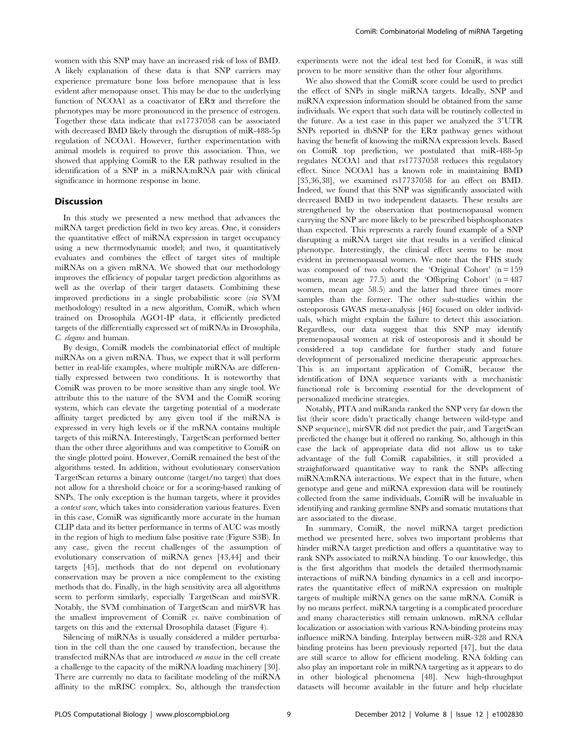women with this SNP may have an increased risk of loss of BMD. A likely explanation of these data is that SNP carriers may experience premature bone loss before menopause that is less evident after menopause onset. This may be due to the underlying function of NCOA1 as a coactivator of  $ER\alpha$  and therefore the phenotypes may be more pronounced in the presence of estrogen. Together these data indicate that rs17737058 can be associated with decreased BMD likely through the disruption of miR-488-5p regulation of NCOA1. However, further experimentation with animal models is required to prove this association. Thus, we showed that applying ComiR to the ER pathway resulted in the identification of a SNP in a miRNA:mRNA pair with clinical significance in hormone response in bone.

#### Discussion

In this study we presented a new method that advances the miRNA target prediction field in two key areas. One, it considers the quantitative effect of miRNA expression in target occupancy using a new thermodynamic model; and two, it quantitatively evaluates and combines the effect of target sites of multiple miRNAs on a given mRNA. We showed that our methodology improves the efficiency of popular target prediction algorithms as well as the overlap of their target datasets. Combining these improved predictions in a single probabilistic score (via SVM methodology) resulted in a new algorithm, ComiR, which when trained on Drosophila AGO1-IP data, it efficiently predicted targets of the differentially expressed set of miRNAs in Drosophila, C. elegans and human.

By design, ComiR models the combinatorial effect of multiple miRNAs on a given mRNA. Thus, we expect that it will perform better in real-life examples, where multiple miRNAs are differentially expressed between two conditions. It is noteworthy that ComiR was proven to be more sensitive than any single tool. We attribute this to the nature of the SVM and the ComiR scoring system, which can elevate the targeting potential of a moderate affinity target predicted by any given tool if the miRNA is expressed in very high levels or if the mRNA contains multiple targets of this miRNA. Interestingly, TargetScan performed better than the other three algorithms and was competitive to ComiR on the single plotted point. However, ComiR remained the best of the algorithms tested. In addition, without evolutionary conservation TargetScan returns a binary outcome (target/no target) that does not allow for a threshold choice or for a scoring-based ranking of SNPs. The only exception is the human targets, where it provides a context score, which takes into consideration various features. Even in this case, ComiR was significantly more accurate in the human CLIP data and its better performance in terms of AUC was mostly in the region of high to medium false positive rate (Figure S3B). In any case, given the recent challenges of the assumption of evolutionary conservation of miRNA genes [43,44] and their targets [45], methods that do not depend on evolutionary conservation may be proven a nice complement to the existing methods that do. Finally, in the high sensitivity area all algorithms seem to perform similarly, especially TargetScan and mirSVR. Notably, the SVM combination of TargetScan and mirSVR has the smallest improvement of ComiR vs. naïve combination of targets on this and the external Drosophila dataset (Figure 4).

Silencing of miRNAs is usually considered a milder perturbation in the cell than the one caused by transfection, because the transfected miRNAs that are introduced en masse in the cell create a challenge to the capacity of the miRNA loading machinery [30]. There are currently no data to facilitate modeling of the miRNA affinity to the mRISC complex. So, although the transfection experiments were not the ideal test bed for ComiR, it was still proven to be more sensitive than the other four algorithms.

We also showed that the ComiR score could be used to predict the effect of SNPs in single miRNA targets. Ideally, SNP and miRNA expression information should be obtained from the same individuals. We expect that such data will be routinely collected in the future. As a test case in this paper we analyzed the 3'UTR SNPs reported in dbSNP for the  $ER\alpha$  pathway genes without having the benefit of knowing the miRNA expression levels. Based on ComiR top prediction, we postulated that miR-488-5p regulates NCOA1 and that rs17737058 reduces this regulatory effect. Since NCOA1 has a known role in maintaining BMD [35,36,38], we examined rs17737058 for an effect on BMD. Indeed, we found that this SNP was significantly associated with decreased BMD in two independent datasets. These results are strengthened by the observation that postmenopausal women carrying the SNP are more likely to be prescribed bisphosphonates than expected. This represents a rarely found example of a SNP disrupting a miRNA target site that results in a verified clinical phenotype. Interestingly, the clinical effect seems to be most evident in premenopausal women. We note that the FHS study was composed of two cohorts: the 'Original Cohort'  $(n = 159)$ women, mean age  $77.5$ ) and the 'Offspring Cohort' (n = 487 women, mean age 58.5) and the latter had three times more samples than the former. The other sub-studies within the osteoporosis GWAS meta-analysis [46] focused on older individuals, which might explain the failure to detect this association. Regardless, our data suggest that this SNP may identify premenopausal women at risk of osteoporosis and it should be considered a top candidate for further study and future development of personalized medicine therapeutic approaches. This is an important application of ComiR, because the identification of DNA sequence variants with a mechanistic functional role is becoming essential for the development of personalized medicine strategies.

Notably, PITA and miRanda ranked the SNP very far down the list (their score didn't practically change between wild-type and SNP sequence), mirSVR did not predict the pair, and TargetScan predicted the change but it offered no ranking. So, although in this case the lack of appropriate data did not allow us to take advantage of the full ComiR capabilities, it still provided a straightforward quantitative way to rank the SNPs affecting miRNA:mRNA interactions. We expect that in the future, when genotype and gene and miRNA expression data will be routinely collected from the same individuals, ComiR will be invaluable in identifying and ranking germline SNPs and somatic mutations that are associated to the disease.

In summary, ComiR, the novel miRNA target prediction method we presented here, solves two important problems that hinder miRNA target prediction and offers a quantitative way to rank SNPs associated to miRNA binding. To our knowledge, this is the first algorithm that models the detailed thermodynamic interactions of miRNA binding dynamics in a cell and incorporates the quantitative effect of miRNA expression on multiple targets of multiple miRNA genes on the same mRNA. ComiR is by no means perfect. miRNA targeting is a complicated procedure and many characteristics still remain unknown. mRNA cellular localization or association with various RNA-binding proteins may influence miRNA binding. Interplay between miR-328 and RNA binding proteins has been previously reported [47], but the data are still scarce to allow for efficient modeling. RNA folding can also play an important role in miRNA targeting as it appears to do in other biological phenomena [48]. New high-throughput datasets will become available in the future and help elucidate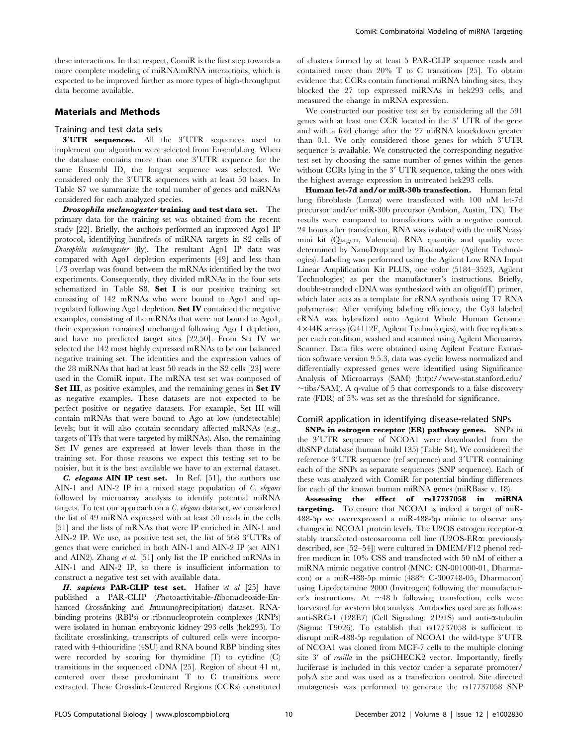these interactions. In that respect, ComiR is the first step towards a more complete modeling of miRNA:mRNA interactions, which is expected to be improved further as more types of high-throughput data become available.

#### Materials and Methods

#### Training and test data sets

3'UTR sequences. All the 3'UTR sequences used to implement our algorithm were selected from Ensembl.org. When the database contains more than one 3'UTR sequence for the same Ensembl ID, the longest sequence was selected. We considered only the 3'UTR sequences with at least 50 bases. In Table S7 we summarize the total number of genes and miRNAs considered for each analyzed species.

Drosophila melanogaster training and test data set. The primary data for the training set was obtained from the recent study [22]. Briefly, the authors performed an improved Ago1 IP protocol, identifying hundreds of miRNA targets in S2 cells of Drosophila melanogaster (fly). The resultant Ago1 IP data was compared with Ago1 depletion experiments [49] and less than 1/3 overlap was found between the mRNAs identified by the two experiments. Consequently, they divided mRNAs in the four sets schematized in Table S8. Set I is our positive training set consisting of 142 mRNAs who were bound to Ago1 and upregulated following Ago1 depletion. Set IV contained the negative examples, consisting of the mRNAs that were not bound to Ago1, their expression remained unchanged following Ago 1 depletion, and have no predicted target sites [22,50]. From Set IV we selected the 142 most highly expressed mRNAs to be our balanced negative training set. The identities and the expression values of the 28 miRNAs that had at least 50 reads in the S2 cells [23] were used in the ComiR input. The mRNA test set was composed of Set III, as positive examples, and the remaining genes in Set IV as negative examples. These datasets are not expected to be perfect positive or negative datasets. For example, Set III will contain mRNAs that were bound to Ago at low (undetectable) levels; but it will also contain secondary affected mRNAs (e.g., targets of TFs that were targeted by miRNAs). Also, the remaining Set IV genes are expressed at lower levels than those in the training set. For those reasons we expect this testing set to be noisier, but it is the best available we have to an external dataset.

C. elegans AIN IP test set. In Ref. [51], the authors use AIN-1 and AIN-2 IP in a mixed stage population of C. elegans followed by microarray analysis to identify potential miRNA targets. To test our approach on a C. elegans data set, we considered the list of 49 miRNA expressed with at least 50 reads in the cells [51] and the lists of mRNAs that were IP enriched in AIN-1 and AIN-2 IP. We use, as positive test set, the list of  $568 \frac{3 \text{'UTRs}}{3}$  of genes that were enriched in both AIN-1 and AIN-2 IP (set AIN1 and AIN2). Zhang et al. [51] only list the IP enriched mRNAs in AIN-1 and AIN-2 IP, so there is insufficient information to construct a negative test set with available data.

H. sapiens PAR-CLIP test set. Hafner et al [25] have published a PAR-CLIP (Photoactivitable-Ribonucleoside-Enhanced Crosslinking and Immunoprecipitation) dataset. RNAbinding proteins (RBPs) or ribonucleoprotein complexes (RNPs) were isolated in human embryonic kidney 293 cells (hek293). To facilitate crosslinking, transcripts of cultured cells were incorporated with 4-thiouridine (4SU) and RNA bound RBP binding sites were recorded by scoring for thymidine (T) to cytidine (C) transitions in the sequenced cDNA [25]. Region of about 41 nt, centered over these predominant T to C transitions were extracted. These Crosslink-Centered Regions (CCRs) constituted of clusters formed by at least 5 PAR-CLIP sequence reads and contained more than 20% T to C transitions [25]. To obtain evidence that CCRs contain functional miRNA binding sites, they blocked the 27 top expressed miRNAs in hek293 cells, and measured the change in mRNA expression.

We constructed our positive test set by considering all the 591 genes with at least one CCR located in the 3' UTR of the gene and with a fold change after the 27 miRNA knockdown greater than  $0.1$ . We only considered those genes for which  $3'UTR$ sequence is available. We constructed the corresponding negative test set by choosing the same number of genes within the genes without CCRs lying in the 3' UTR sequence, taking the ones with the highest average expression in untreated hek293 cells.

Human let-7d and/or miR-30b transfection. Human fetal lung fibroblasts (Lonza) were transfected with 100 nM let-7d precursor and/or miR-30b precursor (Ambion, Austin, TX). The results were compared to transfections with a negative control. 24 hours after transfection, RNA was isolated with the miRNeasy mini kit (Qiagen, Valencia). RNA quantity and quality were determined by NanoDrop and by Bioanalyzer (Agilent Technologies). Labeling was performed using the Agilent Low RNA Input Linear Amplification Kit PLUS, one color (5184–3523, Agilent Technologies) as per the manufacturer's instructions. Briefly, double-stranded cDNA was synthesized with an oligo(dT) primer, which later acts as a template for cRNA synthesis using T7 RNA polymerase. After verifying labeling efficiency, the Cy3 labeled cRNA was hybridized onto Agilent Whole Human Genome 4644K arrays (G4112F, Agilent Technologies), with five replicates per each condition, washed and scanned using Agilent Microarray Scanner. Data files were obtained using Agilent Feature Extraction software version 9.5.3, data was cyclic lowess normalized and differentially expressed genes were identified using Significance Analysis of Microarrays (SAM) (http://www-stat.stanford.edu/  $\sim$ tibs/SAM). A q-value of 5 that corresponds to a false discovery rate (FDR) of 5% was set as the threshold for significance.

#### ComiR application in identifying disease-related SNPs

SNPs in estrogen receptor (ER) pathway genes. SNPs in the 3'UTR sequence of NCOA1 were downloaded from the dbSNP database (human build 135) (Table S4). We considered the reference 3'UTR sequence (ref sequence) and 3'UTR containing each of the SNPs as separate sequences (SNP sequence). Each of these was analyzed with ComiR for potential binding differences for each of the known human miRNA genes (miRBase v. 18).

Assessing the effect of rs17737058 in miRNA targeting. To ensure that NCOA1 is indeed a target of miR-488-5p we overexpressed a miR-488-5p mimic to observe any changes in NCOA1 protein levels. The U2OS estrogen receptor-a stably transfected osteosarcoma cell line (U2OS-ER $\alpha$ : previously described, see [52–54]) were cultured in DMEM/F12 phenol redfree medium in 10% CSS and transfected with 50 nM of either a miRNA mimic negative control (MNC: CN-001000-01, Dharmacon) or a miR-488-5p mimic (488\*: C-300748-05, Dharmacon) using Lipofectamine 2000 (Invitrogen) following the manufacturer's instructions. At  $\sim$  48 h following transfection, cells were harvested for western blot analysis. Antibodies used are as follows: anti-SRC-1 (128E7) (Cell Signaling: 2191S) and anti-a-tubulin (Sigma: T9026). To establish that rs17737058 is sufficient to disrupt miR-488-5p regulation of NCOA1 the wild-type  $3'UTR$ of NCOA1 was cloned from MCF-7 cells to the multiple cloning site 3' of *renilla* in the psiCHECK2 vector. Importantly, firefly luciferase is included in this vector under a separate promoter/ polyA site and was used as a transfection control. Site directed mutagenesis was performed to generate the rs17737058 SNP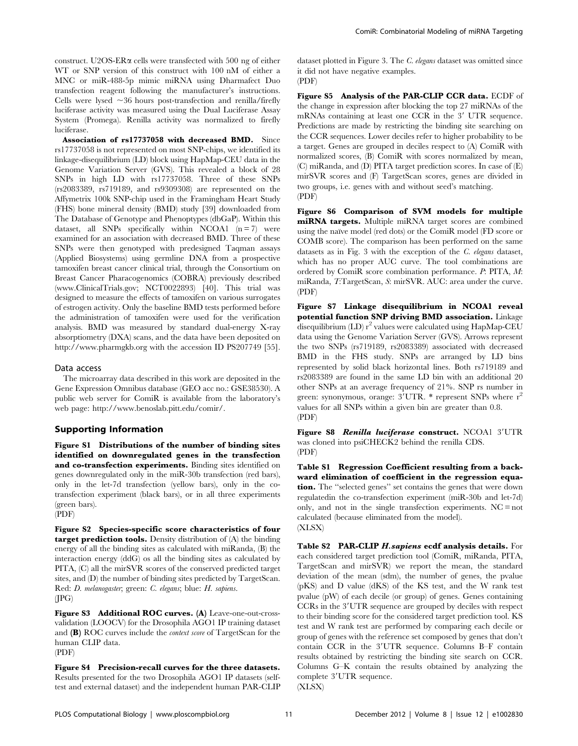construct. U2OS-ERa cells were transfected with 500 ng of either WT or SNP version of this construct with 100 nM of either a MNC or miR-488-5p mimic miRNA using Dharmafect Duo transfection reagent following the manufacturer's instructions. Cells were lysed  $\sim$ 36 hours post-transfection and renilla/firefly luciferase activity was measured using the Dual Luciferase Assay System (Promega). Renilla activity was normalized to firefly luciferase.

Association of rs17737058 with decreased BMD. Since rs17737058 is not represented on most SNP-chips, we identified its linkage-disequilibrium (LD) block using HapMap-CEU data in the Genome Variation Server (GVS). This revealed a block of 28 SNPs in high LD with rs17737058. Three of these SNPs (rs2083389, rs719189, and rs9309308) are represented on the Affymetrix 100k SNP-chip used in the Framingham Heart Study (FHS) bone mineral density (BMD) study [39] downloaded from The Database of Genotype and Phenoptypes (dbGaP). Within this dataset, all SNPs specifically within NCOA1  $(n = 7)$  were examined for an association with decreased BMD. Three of these SNPs were then genotyped with predesigned Taqman assays (Applied Biosystems) using germline DNA from a prospective tamoxifen breast cancer clinical trial, through the Consortium on Breast Cancer Pharacogenomics (COBRA) previously described (www.ClinicalTrials.gov; NCT0022893) [40]. This trial was designed to measure the effects of tamoxifen on various surrogates of estrogen activity. Only the baseline BMD tests performed before the administration of tamoxifen were used for the verification analysis. BMD was measured by standard dual-energy X-ray absorptiometry (DXA) scans, and the data have been deposited on http://www.pharmgkb.org with the accession ID PS207749 [55].

#### Data access

The microarray data described in this work are deposited in the Gene Expression Omnibus database (GEO acc no.: GSE38530). A public web server for ComiR is available from the laboratory's web page: http://www.benoslab.pitt.edu/comir/.

#### Supporting Information

Figure S1 Distributions of the number of binding sites identified on downregulated genes in the transfection and co-transfection experiments. Binding sites identified on genes downregulated only in the miR-30b transfection (red bars), only in the let-7d transfection (yellow bars), only in the cotransfection experiment (black bars), or in all three experiments (green bars). (PDF)

Figure S2 Species-specific score characteristics of four target prediction tools. Density distribution of (A) the binding energy of all the binding sites as calculated with miRanda, (B) the interaction energy (ddG) os all the binding sites as calculated by PITA, (C) all the mirSVR scores of the conserved predicted target sites, and (D) the number of binding sites predicted by TargetScan. Red: D. melanogaster; green: C. elegans; blue: H. sapiens.  $(IPG)$ 

Figure S3 Additional ROC curves. (A) Leave-one-out-crossvalidation (LOOCV) for the Drosophila AGO1 IP training dataset and (B) ROC curves include the context score of TargetScan for the human CLIP data. (PDF)

Figure S4 Precision-recall curves for the three datasets. Results presented for the two Drosophila AGO1 IP datasets (selftest and external dataset) and the independent human PAR-CLIP dataset plotted in Figure 3. The C. elegans dataset was omitted since it did not have negative examples. (PDF)

Figure S5 Analysis of the PAR-CLIP CCR data. ECDF of the change in expression after blocking the top 27 miRNAs of the mRNAs containing at least one CCR in the 3' UTR sequence. Predictions are made by restricting the binding site searching on the CCR sequences. Lower deciles refer to higher probability to be a target. Genes are grouped in deciles respect to (A) ComiR with normalized scores, (B) ComiR with scores normalized by mean, (C) miRanda, and (D) PITA target prediction scores. In case of (E) mirSVR scores and (F) TargetScan scores, genes are divided in two groups, i.e. genes with and without seed's matching. (PDF)

Figure S6 Comparison of SVM models for multiple miRNA targets. Multiple miRNA target scores are combined using the naïve model (red dots) or the ComiR model (FD score or COMB score). The comparison has been performed on the same datasets as in Fig. 3 with the exception of the C. elegans dataset, which has no proper AUC curve. The tool combinations are ordered by ComiR score combination performance. P: PITA, M: miRanda, T:TargetScan, S: mirSVR. AUC: area under the curve. (PDF)

Figure S7 Linkage disequilibrium in NCOA1 reveal potential function SNP driving BMD association. Linkage disequilibrium  $(LD) r<sup>2</sup>$  values were calculated using HapMap-CEU data using the Genome Variation Server (GVS). Arrows represent the two SNPs (rs719189, rs2083389) associated with decreased BMD in the FHS study. SNPs are arranged by LD bins represented by solid black horizontal lines. Both rs719189 and rs2083389 are found in the same LD bin with an additional 20 other SNPs at an average frequency of 21%. SNP rs number in green: synonymous, orange:  $3'UTR$ . \* represent SNPs where  $r^2$ values for all SNPs within a given bin are greater than 0.8. (PDF)

Figure S8 Renilla luciferase construct. NCOA1 3'UTR was cloned into psiCHECK2 behind the renilla CDS. (PDF)

Table S1 Regression Coefficient resulting from a backward elimination of coefficient in the regression equation. The ''selected genes'' set contains the genes that were down regulatedin the co-transfection experiment (miR-30b and let-7d) only, and not in the single transfection experiments.  $NC = not$ calculated (because eliminated from the model). (XLSX)

Table S2 PAR-CLIP H.sapiens ecdf analysis details. For each considered target prediction tool (ComiR, miRanda, PITA, TargetScan and mirSVR) we report the mean, the standard deviation of the mean (sdm), the number of genes, the pvalue (pKS) and D value (dKS) of the KS test, and the W rank test pvalue (pW) of each decile (or group) of genes. Genes containing CCRs in the 3'UTR sequence are grouped by deciles with respect to their binding score for the considered target prediction tool. KS test and W rank test are performed by comparing each decile or group of genes with the reference set composed by genes that don't contain CCR in the  $3'UTR$  sequence. Columns B–F contain results obtained by restricting the binding site search on CCR. Columns G–K contain the results obtained by analyzing the complete 3'UTR sequence.

(XLSX)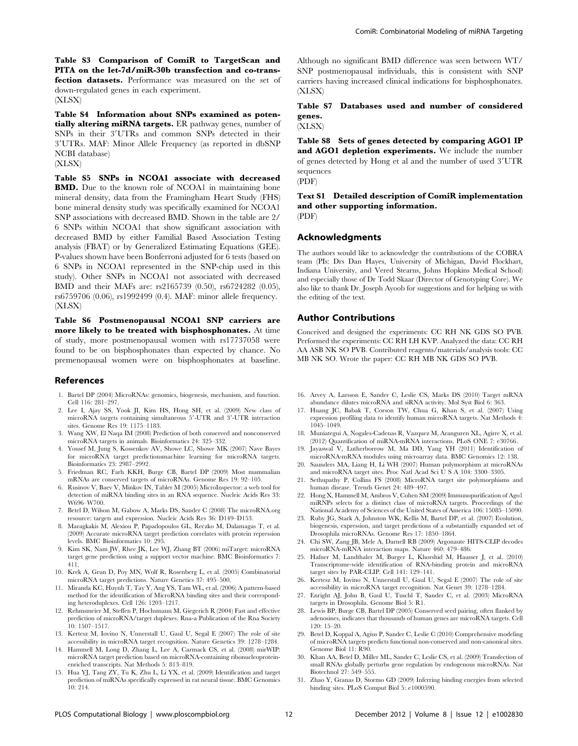Table S3 Comparison of ComiR to TargetScan and PITA on the let-7d/miR-30b transfection and co-transfection datasets. Performance was measured on the set of down-regulated genes in each experiment.

(XLSX)

Table S4 Information about SNPs examined as potentially altering miRNA targets. ER pathway genes, number of SNPs in their 3'UTRs and common SNPs detected in their 39UTRs. MAF: Minor Allele Frequency (as reported in dbSNP NCBI database)

(XLSX)

Table S5 SNPs in NCOA1 associate with decreased BMD. Due to the known role of NCOA1 in maintaining bone mineral density, data from the Framingham Heart Study (FHS) bone mineral density study was specifically examined for NCOA1 SNP associations with decreased BMD. Shown in the table are 2/ 6 SNPs within NCOA1 that show significant association with decreased BMD by either Familial Based Association Testing analysis (FBAT) or by Generalized Estimating Equations (GEE). P-values shown have been Bonferroni adjusted for 6 tests (based on 6 SNPs in NCOA1 represented in the SNP-chip used in this study). Other SNPs in NCOA1 not associated with decreased BMD and their MAFs are: rs2165739 (0.50), rs6724282 (0.05), rs6759706 (0.06), rs1992499 (0.4). MAF: minor allele frequency. (XLSX)

Table S6 Postmenopausal NCOA1 SNP carriers are more likely to be treated with bisphosphonates. At time of study, more postmenopausal women with rs17737058 were found to be on bisphosphonates than expected by chance. No premenopausal women were on bisphosphonates at baseline.

#### References

- 1. Bartel DP (2004) MicroRNAs: genomics, biogenesis, mechanism, and function. Cell 116: 281–297.
- 2. Lee I, Ajay SS, Yook JI, Kim HS, Hong SH, et al. (2009) New class of microRNA targets containing simultaneous 5'-UTR and 3'-UTR interaction sites. Genome Res 19: 1175–1183.
- 3. Wang XW, El Naqa IM (2008) Prediction of both conserved and nonconserved microRNA targets in animals. Bioinformatics 24: 325–332.
- 4. Yousef M, Jung S, Kossenkov AV, Showe LC, Showe MK (2007) Nave Bayes for microRNA target predictionsmachine learning for microRNA targets. Bioinformatics 23: 2987–2992.
- 5. Friedman RC, Farh KKH, Burge CB, Bartel DP (2009) Most mammalian mRNAs are conserved targets of microRNAs. Genome Res 19: 92–105.
- 6. Rusinov V, Baev V, Minkov IN, Tabler M (2005) MicroInspector: a web tool for detection of miRNA binding sites in an RNA sequence. Nucleic Acids Res 33: W696–W700.
- 7. Betel D, Wilson M, Gabow A, Marks DS, Sander C (2008) The microRNA.org resource: targets and expression. Nucleic Acids Res 36: D149–D153.
- 8. Maragkakis M, Alexiou P, Papadopoulos GL, Reczko M, Dalamagas T, et al. (2009) Accurate microRNA target prediction correlates with protein repression levels. BMC Bioinformatics 10: 295.
- 9. Kim SK, Nam JW, Rhee JK, Lee WJ, Zhang BT (2006) miTarget: microRNA target gene prediction using a support vector machine. BMC Bioinformatics 7: 411.
- 10. Krek A, Grun D, Poy MN, Wolf R, Rosenberg L, et al. (2005) Combinatorial microRNA target predictions. Nature Genetics 37: 495–500.
- 11. Miranda KC, Huynh T, Tay Y, Ang YS, Tam WL, et al. (2006) A pattern-based method for the identification of MicroRNA binding sites and their corresponding heteroduplexes. Cell 126: 1203–1217.
- 12. Rehmsmeier M, Steffen P, Hochsmann M, Giegerich R (2004) Fast and effective prediction of microRNA/target duplexes. Rna-a Publication of the Rna Society 10: 1507–1517.
- 13. Kertesz M, Iovino N, Unnerstall U, Gaul U, Segal E (2007) The role of site accessibility in microRNA target recognition. Nature Genetics 39: 1278–1284.
- 14. Hammell M, Long D, Zhang L, Lee A, Carmack CS, et al. (2008) mirWIP: microRNA target prediction based on microRNA-containing ribonucleoproteinenriched transcripts. Nat Methods 5: 813–819.
- 15. Hua YJ, Tang ZY, Tu K, Zhu L, Li YX, et al. (2009) Identification and target prediction of miRNAs specifically expressed in rat neural tissue. BMC Genomics 10: 214.

Although no significant BMD difference was seen between WT/ SNP postmenopausal individuals, this is consistent with SNP carriers having increased clinical indications for bisphosphonates. (XLSX)

Table S7 Databases used and number of considered genes.

#### (XLSX)

Table S8 Sets of genes detected by comparing AGO1 IP and AGO1 depletion experiments. We include the number of genes detected by Hong et al and the number of used 3'UTR sequences

(PDF)

Text S1 Detailed description of ComiR implementation and other supporting information. (PDF)

#### Acknowledgments

The authors would like to acknowledge the contributions of the COBRA team (PIs: Drs Dan Hayes, University of Michigan, David Flockhart, Indiana University, and Vered Stearns, Johns Hopkins Medical School) and especially those of Dr Todd Skaar (Director of Genotyping Core). We also like to thank Dr. Joseph Ayoob for suggestions and for helping us with the editing of the text.

#### Author Contributions

Conceived and designed the experiments: CC RH NK GDS SO PVB. Performed the experiments: CC RH LH KVP. Analyzed the data: CC RH AA ASB NK SO PVB. Contributed reagents/materials/analysis tools: CC MB NK SO. Wrote the paper: CC RH MB NK GDS SO PVB.

- 16. Arvey A, Larsson E, Sander C, Leslie CS, Marks DS (2010) Target mRNA abundance dilutes microRNA and siRNA activity. Mol Syst Biol 6: 363.
- 17. Huang JC, Babak T, Corson TW, Chua G, Khan S, et al. (2007) Using expression profiling data to identify human microRNA targets. Nat Methods 4: 1045–1049.
- 18. Muniategui A, Nogales-Cadenas R, Vazquez M, Aranguren XL, Agirre X, et al. (2012) Quantification of miRNA-mRNA interactions. PLoS ONE 7: e30766.
- 19. Jayaswal V, Lutherborrow M, Ma DD, Yang YH (2011) Identification of microRNA-mRNA modules using microarray data. BMC Genomics 12: 138.
- 20. Saunders MA, Liang H, Li WH (2007) Human polymorphism at microRNAs and microRNA target sites. Proc Natl Acad Sci U S A 104: 3300–3305.
- 21. Sethupathy P, Collins FS (2008) MicroRNA target site polymorphisms and human disease. Trends Genet 24: 489–497.
- 22. Hong X, Hammell M, Ambros V, Cohen SM (2009) Immunopurification of Ago1 miRNPs selects for a distinct class of microRNA targets. Proceedings of the National Academy of Sciences of the United States of America 106: 15085–15090.
- 23. Ruby JG, Stark A, Johnston WK, Kellis M, Bartel DP, et al. (2007) Evolution, biogenesis, expression, and target predictions of a substantially expanded set of Drosophila microRNAs. Genome Res 17: 1850–1864.
- 24. Chi SW, Zang JB, Mele A, Darnell RB (2009) Argonaute HITS-CLIP decodes microRNA-mRNA interaction maps. Nature 460: 479–486.
- 25. Hafner M, Landthaler M, Burger L, Khorshid M, Hausser J, et al. (2010) Transcriptome-wide identification of RNA-binding protein and microRNA target sites by PAR-CLIP. Cell 141: 129–141.
- 26. Kertesz M, Iovino N, Unnerstall U, Gaul U, Segal E (2007) The role of site accessibility in microRNA target recognition. Nat Genet 39: 1278–1284.
- 27. Enright AJ, John B, Gaul U, Tuschl T, Sander C, et al. (2003) MicroRNA targets in Drosophila. Genome Biol 5: R1.
- 28. Lewis BP, Burge CB, Bartel DP (2005) Conserved seed pairing, often flanked by adenosines, indicates that thousands of human genes are microRNA targets. Cell 120: 15–20.
- 29. Betel D, Koppal A, Agius P, Sander C, Leslie C (2010) Comprehensive modeling of microRNA targets predicts functional non-conserved and non-canonical sites. Genome Biol 11: R90.
- 30. Khan AA, Betel D, Miller ML, Sander C, Leslie CS, et al. (2009) Transfection of small RNAs globally perturbs gene regulation by endogenous microRNAs. Nat Biotechnol 27: 549–555.
- 31. Zhao Y, Granas D, Stormo GD (2009) Inferring binding energies from selected binding sites. PLoS Comput Biol 5: e1000590.